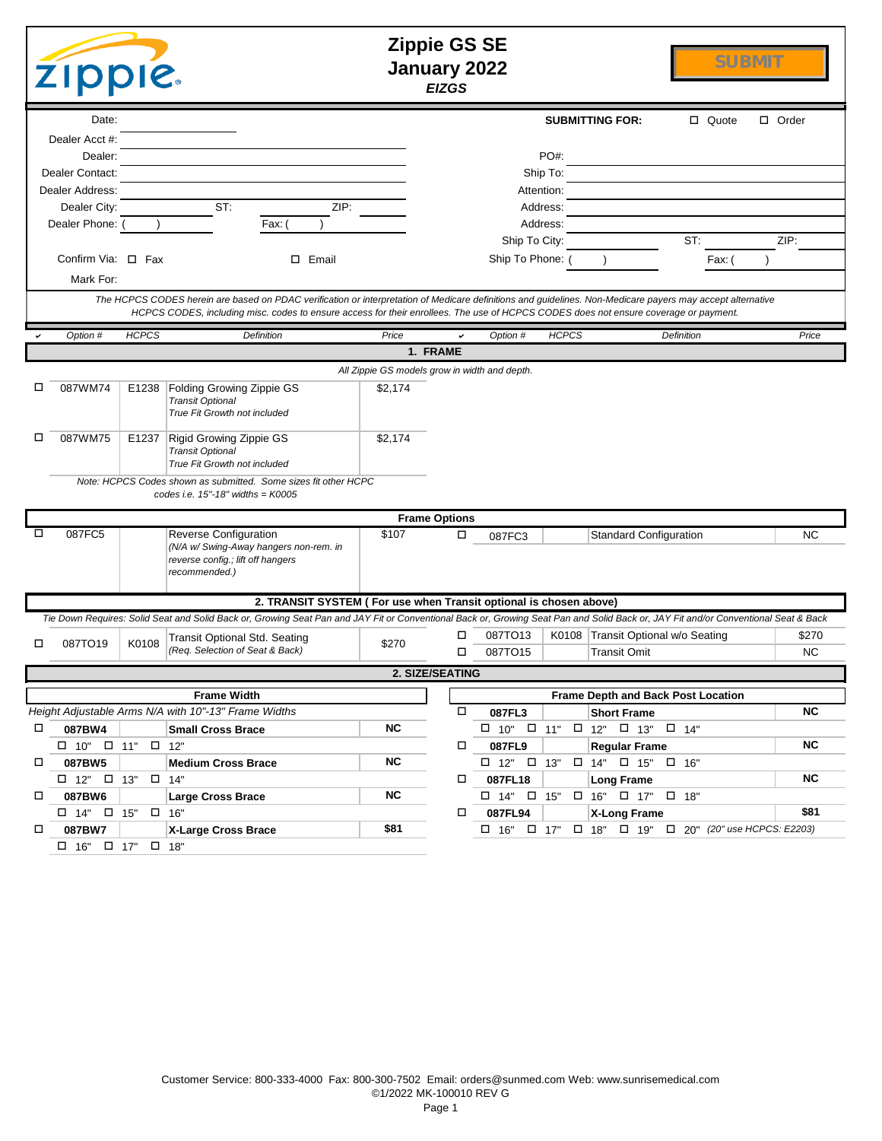|   | <b>ZIPPIE.</b>                                                                                                                                                                                                                                                                                     |              |                                                                                                                                                                                    |                                               | <b>Zippie GS SE</b><br><b>January 2022</b><br><b>EIZGS</b> |                    |                  |                                                        |                                                      | <b>SUBMIT</b>      |
|---|----------------------------------------------------------------------------------------------------------------------------------------------------------------------------------------------------------------------------------------------------------------------------------------------------|--------------|------------------------------------------------------------------------------------------------------------------------------------------------------------------------------------|-----------------------------------------------|------------------------------------------------------------|--------------------|------------------|--------------------------------------------------------|------------------------------------------------------|--------------------|
|   | Date:                                                                                                                                                                                                                                                                                              |              |                                                                                                                                                                                    |                                               |                                                            |                    |                  | <b>SUBMITTING FOR:</b>                                 | □ Quote                                              | □ Order            |
|   | Dealer Acct #:                                                                                                                                                                                                                                                                                     |              |                                                                                                                                                                                    |                                               |                                                            |                    |                  |                                                        |                                                      |                    |
|   | Dealer:<br>Dealer Contact:                                                                                                                                                                                                                                                                         |              |                                                                                                                                                                                    |                                               |                                                            |                    | PO#:<br>Ship To: |                                                        |                                                      |                    |
|   | Dealer Address:                                                                                                                                                                                                                                                                                    |              |                                                                                                                                                                                    |                                               |                                                            | Attention:         |                  |                                                        |                                                      |                    |
|   | Dealer City:                                                                                                                                                                                                                                                                                       |              | ST:<br>ZIP:                                                                                                                                                                        |                                               |                                                            |                    | Address:         |                                                        |                                                      |                    |
|   | Dealer Phone:                                                                                                                                                                                                                                                                                      |              | Fax:                                                                                                                                                                               |                                               |                                                            |                    | Address:         |                                                        |                                                      |                    |
|   |                                                                                                                                                                                                                                                                                                    |              |                                                                                                                                                                                    |                                               |                                                            | Ship To City:      |                  |                                                        | ST:                                                  | ZIP:               |
|   | Confirm Via: $\Box$ Fax                                                                                                                                                                                                                                                                            |              | $\square$ Email                                                                                                                                                                    |                                               |                                                            | Ship To Phone:     |                  |                                                        | Fax: (                                               |                    |
|   | Mark For:                                                                                                                                                                                                                                                                                          |              |                                                                                                                                                                                    |                                               |                                                            |                    |                  |                                                        |                                                      |                    |
|   | The HCPCS CODES herein are based on PDAC verification or interpretation of Medicare definitions and guidelines. Non-Medicare payers may accept alternative<br>HCPCS CODES, including misc. codes to ensure access for their enrollees. The use of HCPCS CODES does not ensure coverage or payment. |              |                                                                                                                                                                                    |                                               |                                                            |                    |                  |                                                        |                                                      |                    |
|   | Option #                                                                                                                                                                                                                                                                                           | <b>HCPCS</b> | Definition                                                                                                                                                                         | Price                                         |                                                            | Option #           | <b>HCPCS</b>     |                                                        | Definition                                           | Price              |
|   |                                                                                                                                                                                                                                                                                                    |              |                                                                                                                                                                                    |                                               | 1. FRAME                                                   |                    |                  |                                                        |                                                      |                    |
|   |                                                                                                                                                                                                                                                                                                    |              |                                                                                                                                                                                    | All Zippie GS models grow in width and depth. |                                                            |                    |                  |                                                        |                                                      |                    |
| □ | 087WM74                                                                                                                                                                                                                                                                                            |              | E1238 Folding Growing Zippie GS<br><b>Transit Optional</b><br>True Fit Growth not included                                                                                         | \$2,174                                       |                                                            |                    |                  |                                                        |                                                      |                    |
| □ | 087WM75                                                                                                                                                                                                                                                                                            | E1237        | Rigid Growing Zippie GS<br><b>Transit Optional</b><br>True Fit Growth not included                                                                                                 | \$2,174                                       |                                                            |                    |                  |                                                        |                                                      |                    |
|   |                                                                                                                                                                                                                                                                                                    |              | Note: HCPCS Codes shown as submitted. Some sizes fit other HCPC<br>codes i.e. $15" - 18"$ widths = $K0005$                                                                         |                                               |                                                            |                    |                  |                                                        |                                                      |                    |
|   |                                                                                                                                                                                                                                                                                                    |              |                                                                                                                                                                                    |                                               | <b>Frame Options</b>                                       |                    |                  |                                                        |                                                      |                    |
| п | 087FC5                                                                                                                                                                                                                                                                                             |              | Reverse Configuration<br>(N/A w/ Swing-Away hangers non-rem. in<br>reverse config.; lift off hangers<br>recommended.)                                                              | \$107                                         | □                                                          | 087FC3             |                  | <b>Standard Configuration</b>                          |                                                      | <b>NC</b>          |
|   |                                                                                                                                                                                                                                                                                                    |              | 2. TRANSIT SYSTEM ( For use when Transit optional is chosen above)                                                                                                                 |                                               |                                                            |                    |                  |                                                        |                                                      |                    |
|   |                                                                                                                                                                                                                                                                                                    |              | Tie Down Requires: Solid Seat and Solid Back or, Growing Seat Pan and JAY Fit or Conventional Back or, Growing Seat Pan and Solid Back or, JAY Fit and/or Conventional Seat & Back |                                               |                                                            |                    |                  |                                                        |                                                      |                    |
| □ | 087TO19                                                                                                                                                                                                                                                                                            | K0108        | Transit Optional Std. Seating<br>(Req. Selection of Seat & Back)                                                                                                                   | \$270                                         | □<br>□                                                     | 087TO13<br>087TO15 |                  | <b>Transit Omit</b>                                    | K0108 Transit Optional w/o Seating                   | \$270<br><b>NC</b> |
|   |                                                                                                                                                                                                                                                                                                    |              |                                                                                                                                                                                    |                                               | 2. SIZE/SEATING                                            |                    |                  |                                                        |                                                      |                    |
|   |                                                                                                                                                                                                                                                                                                    |              | <b>Frame Width</b>                                                                                                                                                                 |                                               |                                                            |                    |                  |                                                        | <b>Frame Depth and Back Post Location</b>            |                    |
|   |                                                                                                                                                                                                                                                                                                    |              | Height Adjustable Arms N/A with 10"-13" Frame Widths                                                                                                                               |                                               | $\Box$                                                     | 087FL3             |                  | <b>Short Frame</b>                                     |                                                      | NC                 |
| □ | 087BW4                                                                                                                                                                                                                                                                                             |              | <b>Small Cross Brace</b>                                                                                                                                                           | NC.                                           |                                                            |                    |                  | $\Box$ 10" $\Box$ 11" $\Box$ 12" $\Box$ 13" $\Box$ 14" |                                                      |                    |
|   | $\Box$ 10" $\Box$ 11" $\Box$ 12"                                                                                                                                                                                                                                                                   |              |                                                                                                                                                                                    |                                               | □                                                          | 087FL9             |                  | <b>Regular Frame</b>                                   |                                                      | <b>NC</b>          |
| □ | 087BW5                                                                                                                                                                                                                                                                                             |              | <b>Medium Cross Brace</b>                                                                                                                                                          | <b>NC</b>                                     |                                                            |                    |                  | $\Box$ 12" $\Box$ 13" $\Box$ 14" $\Box$ 15" $\Box$ 16" |                                                      |                    |
|   | $\Box$ 12" $\Box$ 13" $\Box$ 14"                                                                                                                                                                                                                                                                   |              |                                                                                                                                                                                    |                                               | □                                                          | 087FL18            |                  | <b>Long Frame</b>                                      |                                                      | <b>NC</b>          |
| 0 | 087BW6                                                                                                                                                                                                                                                                                             |              | <b>Large Cross Brace</b>                                                                                                                                                           | <b>NC</b>                                     |                                                            |                    |                  | $\Box$ 14" $\Box$ 15" $\Box$ 16" $\Box$ 17" $\Box$ 18" |                                                      |                    |
|   | $\Box$ 14" $\Box$ 15" $\Box$ 16"                                                                                                                                                                                                                                                                   |              |                                                                                                                                                                                    |                                               | □                                                          | 087FL94            |                  | X-Long Frame                                           |                                                      | \$81               |
| 0 | 087BW7                                                                                                                                                                                                                                                                                             |              | X-Large Cross Brace                                                                                                                                                                | \$81                                          |                                                            |                    |                  |                                                        | □ 16" □ 17" □ 18" □ 19" □ 20" (20" use HCPCS: E2203) |                    |
|   | $\Box$ 16" $\Box$ 17" $\Box$ 18"                                                                                                                                                                                                                                                                   |              |                                                                                                                                                                                    |                                               |                                                            |                    |                  |                                                        |                                                      |                    |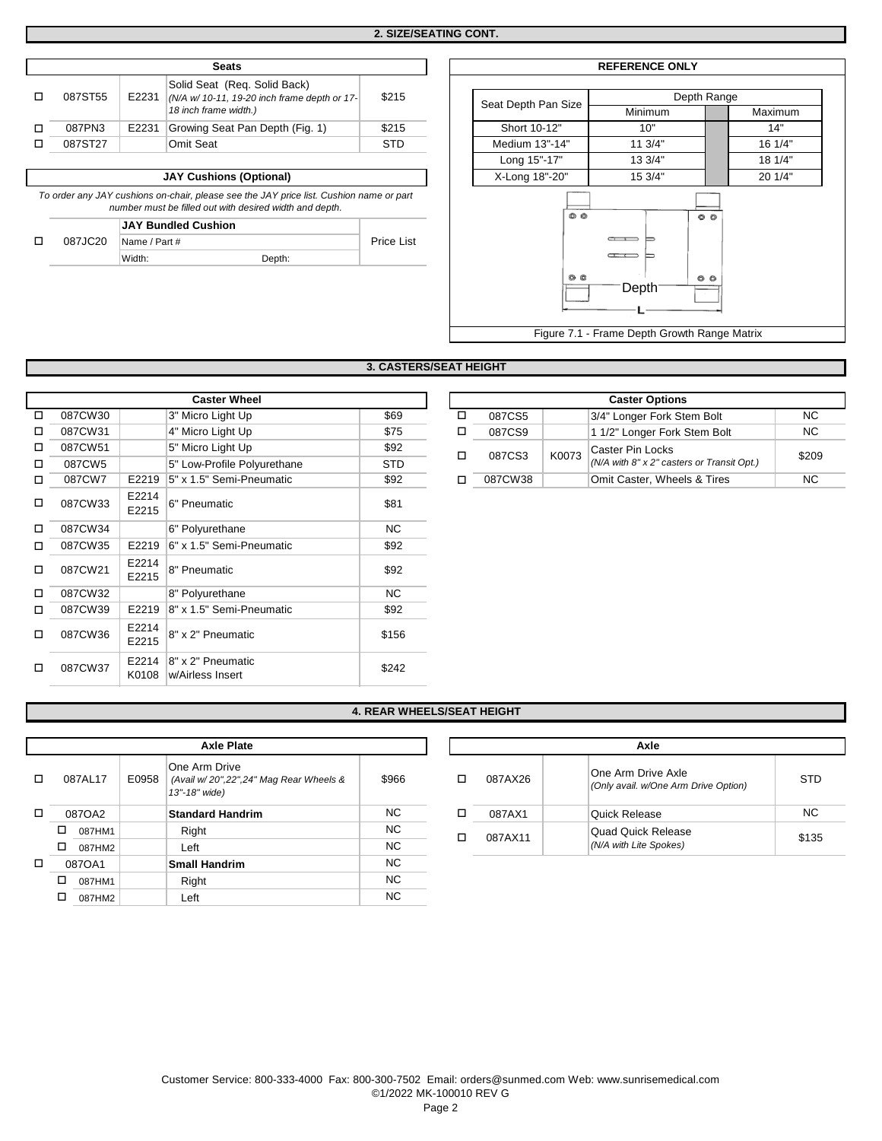| <b>Seats</b> |       |                                              |            |  |                     |                           | <b>REFERENCE</b>             |
|--------------|-------|----------------------------------------------|------------|--|---------------------|---------------------------|------------------------------|
|              |       | Solid Seat (Reg. Solid Back)                 |            |  |                     |                           |                              |
| 087ST55      | E2231 | (N/A w/ 10-11, 19-20 inch frame depth or 17- | \$215      |  | Seat Depth Pan Size |                           |                              |
|              |       | 18 inch frame width.)                        |            |  |                     |                           | Minimur                      |
| 087PN3       | E2231 | Growing Seat Pan Depth (Fig. 1)              | \$215      |  |                     | Short 10-12"              | 10"                          |
| 087ST27      |       | Omit Seat                                    | <b>STD</b> |  |                     | Medium 13"-14"            | 11.3/4"                      |
|              |       |                                              |            |  |                     | $\cdot$ $ \cdot$ $ \cdot$ | $\sim$ $ \sim$ $\sim$ $\sim$ |

**JAY Cushions (Optional)** 

*To order any JAY cushions on-chair, please see the JAY price list. Cushion name or part number must be filled out with desired width and depth.*

|         | <b>JAY Bundled Cushion</b> |  |
|---------|----------------------------|--|
| 087JC20 | $\Box$ Name / Part #       |  |

| Name / Part # |        |  |
|---------------|--------|--|
| Width:        | Depth: |  |

| Seats                                                                               |            |                     | <b>REFERENCE ONLY</b>                        |                |  |  |
|-------------------------------------------------------------------------------------|------------|---------------------|----------------------------------------------|----------------|--|--|
| at (Req. Solid Back)<br>$-11$ , 19-20 inch frame depth or 17-<br>me width.)         | \$215      | Seat Depth Pan Size | Depth Range<br>Minimum                       | <b>Maximum</b> |  |  |
| Seat Pan Depth (Fig. 1)                                                             | \$215      | Short 10-12"        | 10"                                          | 14"            |  |  |
| ıt                                                                                  | <b>STD</b> | Medium 13"-14"      | 11.3/4"                                      | 16 1/4"        |  |  |
|                                                                                     |            | Long 15"-17"        | 13 3/4"                                      | 18 1/4"        |  |  |
| ions (Optional)                                                                     |            | X-Long 18"-20"      | 15 3/4"                                      | 20 1/4"        |  |  |
| se see the JAY price list. Cushion name or part<br>it with desired width and depth. |            | $\circledcirc$      |                                              |                |  |  |
| hion                                                                                | Price List | $O$ $O$             |                                              |                |  |  |
| Depth:                                                                              |            |                     |                                              |                |  |  |
|                                                                                     |            | <u>ම ල</u>          | O<br>Depth                                   |                |  |  |
|                                                                                     |            |                     | Figure 7.1 - Frame Depth Growth Range Matrix |                |  |  |

# **3. CASTERS/SEAT HEIGHT**

|   |         |                | <b>Caster Wheel</b>                   |            |
|---|---------|----------------|---------------------------------------|------------|
| п | 087CW30 |                | 3" Micro Light Up                     | \$69       |
| п | 087CW31 |                | 4" Micro Light Up                     | \$75       |
| □ | 087CW51 |                | 5" Micro Light Up                     | \$92       |
| п | 087CW5  |                | 5" Low-Profile Polyurethane           | <b>STD</b> |
| п | 087CW7  | E2219          | 5" x 1.5" Semi-Pneumatic              | \$92       |
| п | 087CW33 | E2214<br>E2215 | 6" Pneumatic                          | \$81       |
| □ | 087CW34 |                | 6" Polyurethane                       | <b>NC</b>  |
| п | 087CW35 | E2219          | 6" x 1.5" Semi-Pneumatic              | \$92       |
| п | 087CW21 | E2214<br>E2215 | 8" Pneumatic                          | \$92       |
| п | 087CW32 |                | 8" Polyurethane                       | <b>NC</b>  |
| п | 087CW39 | E2219          | 8" x 1.5" Semi-Pneumatic              | \$92       |
| п | 087CW36 | E2214<br>E2215 | 8" x 2" Pneumatic                     | \$156      |
| п | 087CW37 | E2214<br>K0108 | 8" x 2" Pneumatic<br>w/Airless Insert | \$242      |

| <b>Caster Wheel</b> |  |                                         |            |  |         |       | <b>Caster Options</b>                      |       |
|---------------------|--|-----------------------------------------|------------|--|---------|-------|--------------------------------------------|-------|
| 087CW30             |  | 3" Micro Light Up                       | \$69       |  | 087CS5  |       | 3/4" Longer Fork Stem Bolt                 | NC.   |
| 087CW31             |  | 4" Micro Light Up                       | \$75       |  | 087CS9  |       | 1 1/2" Longer Fork Stem Bolt               | NC.   |
| 087CW51             |  | 5" Micro Light Up                       | \$92       |  | 087CS3  | K0073 | Caster Pin Locks                           | \$209 |
| 087CW5              |  | 5" Low-Profile Polyurethane             | <b>STD</b> |  |         |       | (N/A with 8" x 2" casters or Transit Opt.) |       |
| 087CW7              |  | E2219 $\vert 5$ " x 1.5" Semi-Pneumatic | \$92       |  | 087CW38 |       | Omit Caster, Wheels & Tires                | NC.   |

#### **4. REAR WHEELS/SEAT HEIGHT**

|   |        |         |       | <b>Axle Plate</b>                                                        |       |   |         | Axle                               |
|---|--------|---------|-------|--------------------------------------------------------------------------|-------|---|---------|------------------------------------|
| □ |        | 087AL17 | E0958 | One Arm Drive<br>(Avail w/20",22",24" Mag Rear Wheels &<br>13"-18" wide) | \$966 | □ | 087AX26 | One Arm Drive<br>(Only avail. w/O. |
| □ | 087OA2 |         |       | <b>Standard Handrim</b>                                                  | NC.   | □ | 087AX1  | Quick Release                      |
|   | □      | 087HM1  |       | Right                                                                    | NC.   | □ | 087AX11 | Quad Quick R                       |
|   | □      | 087HM2  |       | Left                                                                     | NC.   |   |         | (N/A with Lite Sp                  |
| □ |        | 087OA1  |       | <b>Small Handrim</b>                                                     | NC.   |   |         |                                    |
|   |        | 087HM1  |       | Right                                                                    | NC.   |   |         |                                    |
|   |        | 087HM2  |       | Left                                                                     | NC.   |   |         |                                    |

| Axle    |                                                            |       |  |  |  |  |
|---------|------------------------------------------------------------|-------|--|--|--|--|
| 087AX26 | One Arm Drive Axle<br>(Only avail. w/One Arm Drive Option) | STD   |  |  |  |  |
| 087AX1  | Quick Release                                              | NC.   |  |  |  |  |
| 087AX11 | Quad Quick Release<br>(N/A with Lite Spokes)               | \$135 |  |  |  |  |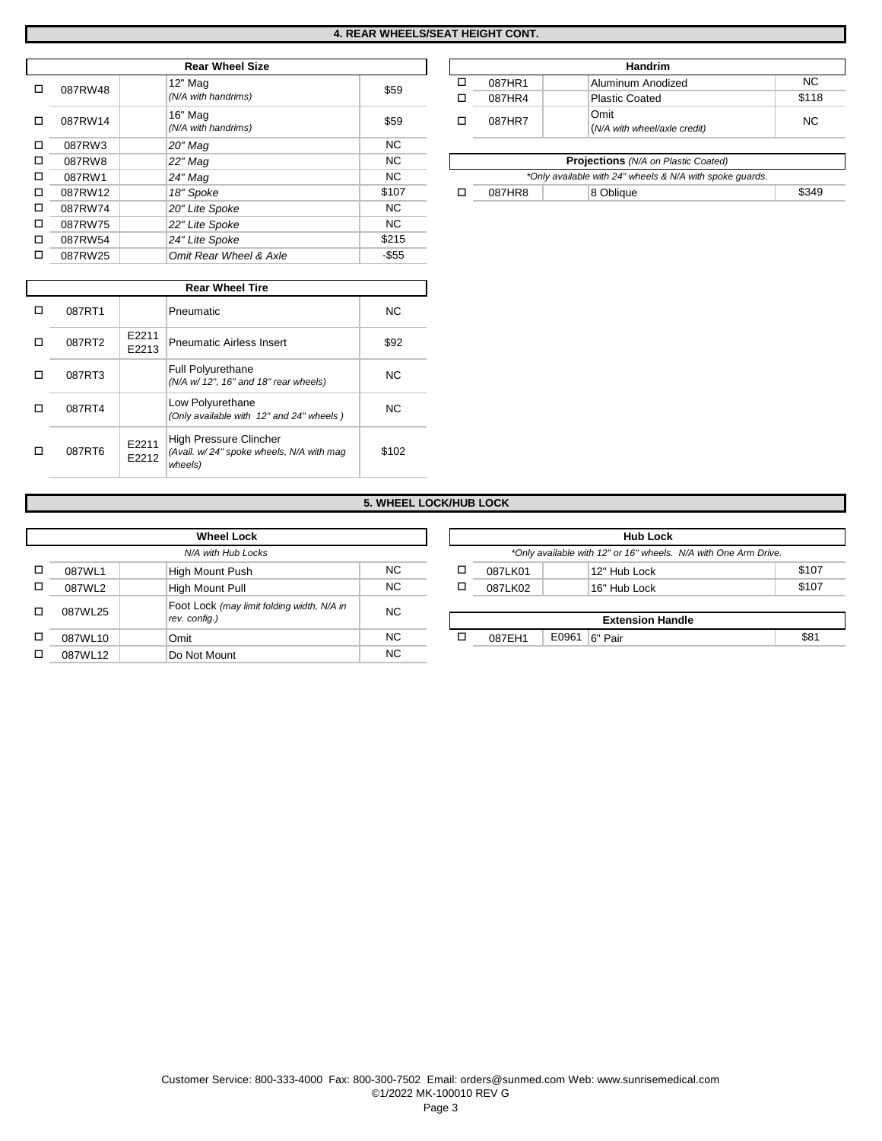|         | <b>Rear Wheel Size</b> |           |              |   |                                     | Handrim                                         |  |  |
|---------|------------------------|-----------|--------------|---|-------------------------------------|-------------------------------------------------|--|--|
|         | 12" Mag                |           |              | □ | 087HR1                              | Aluminum Anodized                               |  |  |
|         | (N/A with handrims)    |           |              | □ | 087HR4                              | <b>Plastic Coated</b>                           |  |  |
| ◻       | 16" Mag                |           |              |   |                                     | Omit                                            |  |  |
|         | (N/A with handrims)    |           |              |   |                                     | (N/A with wheel/axle credit)                    |  |  |
| 087RW3  | 20" Mag                | <b>NC</b> |              |   |                                     |                                                 |  |  |
| 087RW8  | 22" Mag                | <b>NC</b> |              |   | Projections (N/A on Plastic Coated) |                                                 |  |  |
| 087RW1  | 24" Mag                | NC.       |              |   |                                     | *Only available with 24" wheels & N/A with spok |  |  |
| 087RW12 | 18" Spoke              | \$107     |              | □ | 087HR8                              | 8 Oblique                                       |  |  |
| 087RW74 | 20" Lite Spoke         | NC.       |              |   |                                     |                                                 |  |  |
| 087RW75 | 22" Lite Spoke         | NC.       |              |   |                                     |                                                 |  |  |
| 087RW54 | 24" Lite Spoke         | \$215     |              |   |                                     |                                                 |  |  |
| 087RW25 | Omit Rear Wheel & Axle | -\$55     |              |   |                                     |                                                 |  |  |
|         | 087RW48<br>087RW14     |           | \$59<br>\$59 |   | □                                   | 087HR7                                          |  |  |

|   | ,,,,,,,,, |                | ייישע שיים בם                                                     |           |
|---|-----------|----------------|-------------------------------------------------------------------|-----------|
| □ | 087RW54   |                | 24" Lite Spoke                                                    | \$215     |
| □ | 087RW25   |                | Omit Rear Wheel & Axle                                            | $-$ \$55  |
|   |           |                |                                                                   |           |
|   |           |                | <b>Rear Wheel Tire</b>                                            |           |
| □ | 087RT1    |                | Pneumatic                                                         | <b>NC</b> |
| □ | 087RT2    | E2211<br>E2213 | <b>Pneumatic Airless Insert</b>                                   | \$92      |
| □ | 087RT3    |                | <b>Full Polyurethane</b><br>(N/A w/ 12", 16" and 18" rear wheels) | <b>NC</b> |
| □ | 087RT4    |                | Low Polyurethane<br>(Only available with 12" and 24" wheels)      | <b>NC</b> |

| <b>Rear Wheel Size</b> |      |        | <b>Handrim</b>               |           |
|------------------------|------|--------|------------------------------|-----------|
| 12" Mag                | \$59 | 087HR1 | Aluminum Anodized            | <b>NC</b> |
| (N/A with handrims)    |      | 087HR4 | <b>Plastic Coated</b>        | \$118     |
| 16" Mag                | \$59 | 087HR7 | Omit                         | <b>NC</b> |
| (N/A with handrims)    |      |        | (N/A with wheel/axle credit) |           |

| ΝC                       |        | <b>Projections</b> (N/A on Plastic Coated)               |       |
|--------------------------|--------|----------------------------------------------------------|-------|
| NC                       |        | *Only available with 24" wheels & N/A with spoke quards. |       |
| :107                     | 087HR8 | 8 Obliaue                                                | \$349 |
| $\overline{\phantom{a}}$ |        |                                                          |       |

# **5. WHEEL LOCK/HUB LOCK**

\$102

| <b>Hub Lock</b>                         |                 |   | <b>Wheel Lock</b>  |                                            |         |   |  |  |
|-----------------------------------------|-----------------|---|--------------------|--------------------------------------------|---------|---|--|--|
| *Only available with 12" or 16" wheels. |                 |   | N/A with Hub Locks |                                            |         |   |  |  |
| 12" Hub Lock                            | 087LK01         | □ | NC.                | High Mount Push                            | 087WL1  | □ |  |  |
| 16" Hub Lock                            | 087LK02         | ◻ | <b>NC</b>          | <b>High Mount Pull</b>                     | 087WL2  | □ |  |  |
|                                         |                 |   |                    | Foot Lock (may limit folding width, N/A in |         |   |  |  |
| <b>Extension Har</b>                    |                 |   |                    | rev. config.)                              |         |   |  |  |
| 6" Pair                                 | E0961<br>087EH1 | □ | <b>NC</b>          | Omit                                       | 087WL10 | □ |  |  |
|                                         |                 |   | <b>NC</b>          | Do Not Mount                               | 087WL12 | □ |  |  |
|                                         |                 |   | <b>NC</b>          |                                            | 087WL25 | п |  |  |

E2212 *(Avail. w/ 24" spoke wheels, N/A with mag*  High Pressure Clincher

*wheels)*

 $\Box$  087RT6  $\Big| \begin{array}{c} \text{E2211} \\ \text{E2212} \end{array}$ 

|                    | <b>Wheel Lock</b>                          |           |  |   | <b>Hub Lock</b> |                                                                 |       |
|--------------------|--------------------------------------------|-----------|--|---|-----------------|-----------------------------------------------------------------|-------|
| N/A with Hub Locks |                                            |           |  |   |                 | *Only available with 12" or 16" wheels. N/A with One Arm Drive. |       |
| 087WL1             | High Mount Push                            | NC.       |  | ◻ | 087LK01         | 12" Hub Lock                                                    | \$107 |
| 087WL2             | High Mount Pull                            | NC.       |  | □ | 087LK02         | 16" Hub Lock                                                    | \$107 |
| 087WL25            | Foot Lock (may limit folding width, N/A in | <b>NC</b> |  |   |                 |                                                                 |       |
|                    | rev. config.)                              |           |  |   |                 | <b>Extension Handle</b>                                         |       |
| 087WL10            | Omit                                       | NC.       |  |   | 087EH1          | E0961   6" Pair                                                 | \$81  |
| 0711170            | $D = M + L M + \cdots$                     | $\sim$    |  |   |                 |                                                                 |       |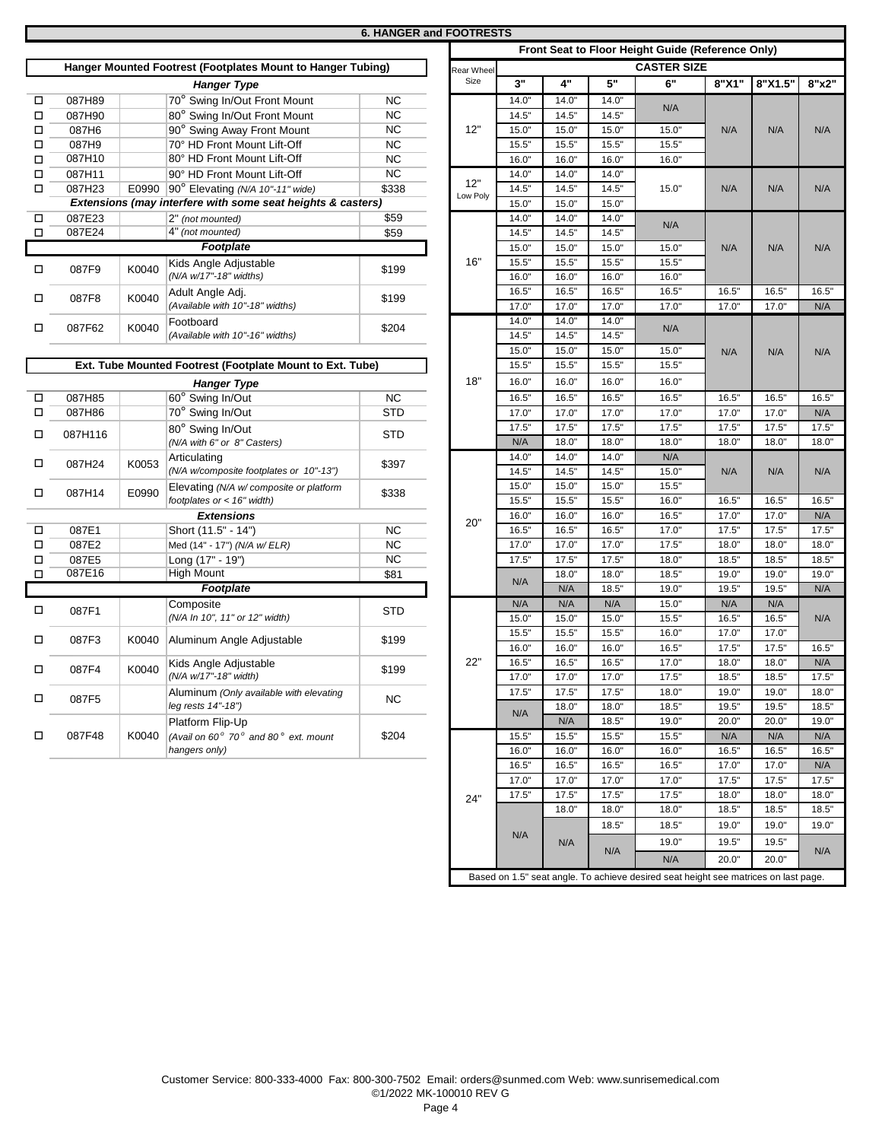# **6. HANGER and FOOTRESTS**

|        |         |                                                             |            |            |       |       |       | Front Seat to Floor Height Guide (Reference Only) |       |       |
|--------|---------|-------------------------------------------------------------|------------|------------|-------|-------|-------|---------------------------------------------------|-------|-------|
|        |         | Hanger Mounted Footrest (Footplates Mount to Hanger Tubing) |            | Rear Wheel |       |       |       | <b>CASTER SIZE</b>                                |       |       |
|        |         | <b>Hanger Type</b>                                          |            | Size       | 3"    | 4"    | 5"    | 6"                                                | 8"X1" | 8"X1. |
| □      | 087H89  | 70° Swing In/Out Front Mount                                | <b>NC</b>  |            | 14.0" | 14.0' | 14.0' |                                                   |       |       |
| о      | 087H90  | 80° Swing In/Out Front Mount                                | <b>NC</b>  |            | 14.5" | 14.5' | 14.5" | N/A                                               |       |       |
| □      | 087H6   | 90° Swing Away Front Mount                                  | <b>NC</b>  | 12"        | 15.0" | 15.0' | 15.0' | 15.0"                                             | N/A   | N/A   |
| □      | 087H9   | 70° HD Front Mount Lift-Off                                 | <b>NC</b>  |            | 15.5" | 15.5' | 15.5' | 15.5"                                             |       |       |
| о      | 087H10  | 80° HD Front Mount Lift-Off                                 | <b>NC</b>  |            | 16.0" | 16.0' | 16.0' | 16.0"                                             |       |       |
| $\Box$ | 087H11  | 90° HD Front Mount Lift-Off                                 | <b>NC</b>  |            | 14.0" | 14.0' | 14.0' |                                                   |       |       |
| □      | 087H23  | E0990<br>90° Elevating (N/A 10"-11" wide)                   | \$338      | 12"        | 14.5" | 14.5" | 14.5" | 15.0"                                             | N/A   | N/A   |
|        |         | Extensions (may interfere with some seat heights & casters) |            | Low Poly   | 15.0" | 15.0" | 15.0" |                                                   |       |       |
| Д      | 087E23  | 2" (not mounted)                                            | \$59       |            | 14.0" | 14.0' | 14.0" |                                                   |       |       |
| $\Box$ | 087E24  | 4" (not mounted)                                            | \$59       |            | 14.5" | 14.5' | 14.5" | N/A                                               |       |       |
|        |         | <b>Footplate</b>                                            |            |            | 15.0" | 15.0" | 15.0" | 15.0"                                             | N/A   | N/A   |
|        |         | Kids Angle Adjustable                                       |            | 16"        | 15.5" | 15.5" | 15.5" | 15.5"                                             |       |       |
| □      | 087F9   | K0040<br>(N/A w/17"-18" widths)                             | \$199      |            | 16.0" | 16.0" | 16.0" | 16.0"                                             |       |       |
|        |         | Adult Angle Adj.                                            |            |            | 16.5" | 16.5' | 16.5' | 16.5"                                             | 16.5" | 16.5" |
| □      | 087F8   | K0040<br>(Available with 10"-18" widths)                    | \$199      |            | 17.0" | 17.0' | 17.0" | 17.0"                                             | 17.0" | 17.0" |
|        |         | Footboard                                                   |            |            | 14.0" | 14.0' | 14.0' |                                                   |       |       |
| о      | 087F62  | K0040<br>(Available with 10"-16" widths)                    | \$204      |            | 14.5" | 14.5' | 14.5" | N/A                                               |       |       |
|        |         |                                                             |            |            | 15.0" | 15.0' | 15.0" | 15.0"                                             | N/A   | N/A   |
|        |         | Ext. Tube Mounted Footrest (Footplate Mount to Ext. Tube)   |            |            | 15.5" | 15.5' | 15.5' | 15.5"                                             |       |       |
|        |         | <b>Hanger Type</b>                                          |            | 18"        | 16.0" | 16.0" | 16.0" | 16.0"                                             |       |       |
| □      | 087H85  | 60° Swing In/Out                                            | <b>NC</b>  |            | 16.5" | 16.5" | 16.5" | 16.5"                                             | 16.5" | 16.5" |
| о      | 087H86  | 70° Swing In/Out                                            | <b>STD</b> |            | 17.0" | 17.0" | 17.0" | 17.0"                                             | 17.0" | 17.0" |
|        |         | 80° Swing In/Out                                            |            |            | 17.5" | 17.5" | 17.5" | 17.5"                                             | 17.5" | 17.5" |
| □      | 087H116 | (N/A with 6" or 8" Casters)                                 | <b>STD</b> |            | N/A   | 18.0' | 18.0" | 18.0"                                             | 18.0" | 18.0" |
|        |         | Articulating                                                |            |            | 14.0" | 14.0" | 14.0" | N/A                                               |       |       |
| □      | 087H24  | K0053<br>(N/A w/composite footplates or 10"-13")            | \$397      |            | 14.5" | 14.5' | 14.5" | 15.0"                                             | N/A   | N/A   |
|        |         | Elevating (N/A w/ composite or platform                     |            |            | 15.0" | 15.0' | 15.0" | 15.5"                                             |       |       |
| □      | 087H14  | E0990<br>footplates or $<$ 16" width)                       | \$338      |            | 15.5" | 15.5" | 15.5' | 16.0"                                             | 16.5' | 16.5" |
|        |         | <b>Extensions</b>                                           |            |            | 16.0" | 16.0' | 16.0" | 16.5"                                             | 17.0" | 17.0" |
| о      | 087E1   | Short (11.5" - 14")                                         | <b>NC</b>  | 20"        | 16.5" | 16.5' | 16.5' | 17.0"                                             | 17.5' | 17.5" |
| о      | 087E2   | Med (14" - 17") (N/A w/ ELR)                                | <b>NC</b>  |            | 17.0" | 17.0' | 17.0" | 17.5"                                             | 18.0' | 18.0" |
| □      | 087E5   | Long (17" - 19")                                            | <b>NC</b>  |            | 17.5" | 17.5' | 17.5" | 18.0"                                             | 18.5' | 18.5" |
| о      | 087E16  | <b>High Mount</b>                                           | \$81       |            |       | 18.0' | 18.0' | 18.5"                                             | 19.0' | 19.0" |
|        |         | Footplate                                                   |            |            | N/A   | N/A   | 18.5" | 19.0"                                             | 19.5" | 19.5" |
|        |         | Composite                                                   |            |            | N/A   | N/A   | N/A   | 15.0"                                             | N/A   | N/A   |
| о      | 087F1   | (N/A In 10", 11" or 12" width)                              | <b>STD</b> |            | 15.0" | 15.0' | 15.0" | 15.5"                                             | 16.5' | 16.5" |
|        |         |                                                             |            |            | 15.5" | 15.5' | 15.5" | 16.0"                                             | 17.0" | 17.0" |
| □      | 087F3   | K0040<br>Aluminum Angle Adjustable                          | \$199      |            | 16.0" | 16.0' | 16.0" | 16.5"                                             | 17.5" | 17.5" |
|        |         | Kids Angle Adjustable                                       |            | 22"        | 16.5" | 16.5' | 16.5' | 17.0"                                             | 18.0" | 18.0" |
| □      | 087F4   | K0040<br>(N/A w/17"-18" width)                              | \$199      |            | 17.0" | 17.0' | 17.0" | 17.5"                                             | 18.5" | 18.5' |
|        |         | Aluminum (Only available with elevating                     |            |            | 17.5" | 17.5' | 17.5" | 18.0"                                             | 19.0' | 19.0" |
| о      | 087F5   | leg rests 14"-18")                                          | <b>NC</b>  |            |       | 18.0' | 18.0' | 18.5"                                             | 19.5' | 19.5" |
|        |         | Platform Flip-Up                                            |            |            | N/A   | N/A   | 18.5" | 19.0"                                             | 20.0' | 20.0" |
| □      | 087F48  | K0040<br>(Avail on $60^{\circ}$ 70° and 80° ext. mount      | \$204      |            | 15.5" | 15.5' | 15.5' | 15.5"                                             | N/A   | N/A   |
|        |         | hangers only)                                               |            |            | 16.0" | 16.0" | 16.0" | 16.0"                                             | 16.5" | 16.5" |
|        |         |                                                             |            |            |       |       |       |                                                   |       |       |

|         |       |                                                                         |            |                 |                         |                    |                | Front Seat to Floor Height Guide (Reference Only)                                   |                |                |              |  |  |  |
|---------|-------|-------------------------------------------------------------------------|------------|-----------------|-------------------------|--------------------|----------------|-------------------------------------------------------------------------------------|----------------|----------------|--------------|--|--|--|
|         |       | Hanger Mounted Footrest (Footplates Mount to Hanger Tubing)             |            | Rear Whee       |                         | <b>CASTER SIZE</b> |                |                                                                                     |                |                |              |  |  |  |
|         |       | <b>Hanger Type</b>                                                      |            | Size            | 3"                      | 4"                 | 5"             | 6"                                                                                  | 8"X1"          | 8"X1.5"        | 8"x2"        |  |  |  |
| 087H89  |       | 70° Swing In/Out Front Mount                                            | <b>NC</b>  |                 | 14.0"                   | 14.0'              | 14.0"          |                                                                                     |                |                |              |  |  |  |
| 087H90  |       | 80° Swing In/Out Front Mount                                            | <b>NC</b>  |                 | 14.5"                   | 14.5'              | 14.5"          | N/A                                                                                 |                |                |              |  |  |  |
| 087H6   |       | 90° Swing Away Front Mount                                              | <b>NC</b>  | 12"             | 15.0"                   | 15.0"              | 15.0"          | 15.0"                                                                               | N/A            | N/A            | N/A          |  |  |  |
| 087H9   |       | 70° HD Front Mount Lift-Off                                             | NС         |                 | 15.5"                   | 15.5'              | 15.5"          | 15.5"                                                                               |                |                |              |  |  |  |
| 087H10  |       | 80° HD Front Mount Lift-Off                                             | NС         |                 | 16.0"                   | 16.0"              | 16.0"          | 16.0"                                                                               |                |                |              |  |  |  |
| 087H11  |       | 90° HD Front Mount Lift-Off                                             | NC         |                 | 14.0"                   | 14.0"              | 14.0"          |                                                                                     |                |                |              |  |  |  |
| 087H23  |       | E0990 90° Elevating (N/A 10"-11" wide)                                  | \$338      | 12"<br>Low Poly | 14.5"                   | 14.5"              | 14.5"          | 15.0"                                                                               | N/A            | N/A            | N/A          |  |  |  |
|         |       | Extensions (may interfere with some seat heights & casters)             |            |                 | 15.0"                   | 15.0"              | 15.0"          |                                                                                     |                |                |              |  |  |  |
| 087E23  |       | 2" (not mounted)                                                        | \$59       |                 | 14.0"                   | 14.0'              | 14.0"          | N/A                                                                                 |                |                |              |  |  |  |
| 087E24  |       | 4" (not mounted)                                                        | \$59       |                 | 14.5"                   | 14.5'              | 14.5"          |                                                                                     |                |                |              |  |  |  |
|         |       | Footplate                                                               |            |                 | 15.0"                   | 15.0"              | 15.0"          | 15.0"                                                                               | N/A            | N/A            | N/A          |  |  |  |
| 087F9   | K0040 | Kids Angle Adjustable                                                   | \$199      | 16"             | 15.5"                   | 15.5'              | 15.5"          | 15.5"                                                                               |                |                |              |  |  |  |
|         |       | (N/A w/17"-18" widths)                                                  |            |                 | 16.0"                   | 16.0"              | 16.0"          | 16.0"                                                                               |                |                |              |  |  |  |
| 087F8   | K0040 | Adult Angle Adj.                                                        | \$199      |                 | 16.5"                   | 16.5'              | 16.5"          | 16.5"                                                                               | 16.5"          | 16.5'          | 16.5"        |  |  |  |
|         |       | (Available with 10"-18" widths)                                         |            |                 | 17.0"                   | 17.0"              | 17.0"          | 17.0"                                                                               | 17.0"          | 17.0"          | N/A          |  |  |  |
| 087F62  | K0040 | Footboard                                                               | \$204      |                 | 14.0"                   | 14.0"              | 14.0"          | N/A                                                                                 |                |                |              |  |  |  |
|         |       | (Available with 10"-16" widths)                                         |            |                 | 14.5"                   | 14.5'              | 14.5"          |                                                                                     |                |                |              |  |  |  |
|         |       |                                                                         |            |                 | 15.0"                   | 15.0"              | 15.0"          | 15.0"                                                                               | N/A            | N/A            | N/A          |  |  |  |
|         |       | Ext. Tube Mounted Footrest (Footplate Mount to Ext. Tube)               |            |                 | 15.5"                   | 15.5"              | 15.5"          | 15.5"                                                                               |                |                |              |  |  |  |
|         |       | <b>Hanger Type</b>                                                      |            | 18"             | 16.0"                   | 16.0"              | 16.0"          | 16.0"                                                                               |                |                |              |  |  |  |
| 087H85  |       | 60° Swing In/Out                                                        | <b>NC</b>  |                 | 16.5"                   | 16.5"              | 16.5"          | 16.5"                                                                               | 16.5"          | 16.5"          | 16.5"        |  |  |  |
| 087H86  |       | 70° Swing In/Out                                                        | STD        |                 | 17.0"                   | 17.0"              | 17.0"          | 17.0"                                                                               | 17.0"          | 17.0"          | N/A          |  |  |  |
| 087H116 |       | 80° Swing In/Out                                                        | STD        |                 | 17.5"                   | 17.5"              | 17.5"          | 17.5"                                                                               | 17.5"          | 17.5"          | 17.5"        |  |  |  |
|         |       | (N/A with 6" or 8" Casters)                                             |            |                 | N/A                     | 18.0"              | 18.0"          | 18.0"                                                                               | 18.0"          | 18.0"          | 18.0"        |  |  |  |
| 087H24  | K0053 | Articulating                                                            | \$397      |                 | 14.0"<br>14.5"<br>14.5" | 14.0'              | 14.0"          | N/A                                                                                 |                |                |              |  |  |  |
|         |       | (N/A w/composite footplates or 10"-13")                                 |            |                 |                         |                    | 14.5"          | 15.0"                                                                               | N/A            | N/A            | N/A          |  |  |  |
| 087H14  | E0990 | Elevating (N/A w/ composite or platform<br>footplates or $<$ 16" width) | \$338      |                 | 15.0"                   | 15.0"              | 15.0"          | 15.5"                                                                               |                |                |              |  |  |  |
|         |       |                                                                         |            |                 | 15.5"<br>16.0"          | 15.5"<br>16.0'     | 15.5"<br>16.0" | 16.0"<br>16.5"                                                                      | 16.5"<br>17.0" | 16.5"<br>17.0" | 16.5"<br>N/A |  |  |  |
| 087E1   |       | <b>Extensions</b><br>Short (11.5" - 14")                                | <b>NC</b>  | 20"             | 16.5"                   | 16.5'              | 16.5"          | 17.0"                                                                               | 17.5"          | 17.5"          | 17.5"        |  |  |  |
| 087E2   |       | Med (14" - 17") (N/A w/ ELR)                                            | <b>NC</b>  |                 | 17.0"                   | 17.0"              | 17.0"          | 17.5"                                                                               | 18.0"          | 18.0"          | 18.0"        |  |  |  |
| 087E5   |       | Long (17" - 19")                                                        | NC         |                 | 17.5"                   | 17.5'              | 17.5"          | 18.0"                                                                               | 18.5"          | 18.5'          | 18.5"        |  |  |  |
| 087E16  |       | <b>High Mount</b>                                                       | \$81       |                 |                         | 18.0"              | 18.0"          | 18.5"                                                                               | 19.0"          | 19.0"          | 19.0"        |  |  |  |
|         |       | Footplate                                                               |            |                 | N/A                     | N/A                | 18.5"          | 19.0"                                                                               | 19.5"          | 19.5"          | N/A          |  |  |  |
|         |       | Composite                                                               |            |                 | N/A                     | N/A                | N/A            | 15.0"                                                                               | N/A            | N/A            |              |  |  |  |
| 087F1   |       | (N/A In 10", 11" or 12" width)                                          | <b>STD</b> |                 | 15.0"                   | 15.0"              | 15.0"          | 15.5"                                                                               | 16.5"          | 16.5"          | N/A          |  |  |  |
|         |       |                                                                         |            |                 | 15.5"                   | 15.5"              | 15.5"          | 16.0"                                                                               | 17.0"          | 17.0"          |              |  |  |  |
| 087F3   | K0040 | Aluminum Angle Adjustable                                               | \$199      |                 | 16.0"                   | 16.0"              | 16.0"          | 16.5"                                                                               | 17.5"          | 17.5"          | 16.5"        |  |  |  |
|         |       | Kids Angle Adjustable                                                   |            | 22"             | 16.5"                   | 16.5'              | 16.5"          | 17.0"                                                                               | 18.0"          | 18.0"          | N/A          |  |  |  |
| 087F4   | K0040 | (N/A w/17"-18" width)                                                   | \$199      |                 | 17.0"                   | 17.0"              | 17.0"          | 17.5"                                                                               | 18.5"          | 18.5"          | 17.5"        |  |  |  |
|         |       | Aluminum (Only available with elevating                                 |            |                 | 17.5"                   | $17.5^{\circ}$     | $17.5^{\circ}$ | 18.0'                                                                               | 19.0           | 19.0           | 18.0"        |  |  |  |
| 087F5   |       | leg rests 14"-18")                                                      | NC         |                 |                         | 18.0"              | 18.0"          | 18.5"                                                                               | 19.5"          | 19.5"          | 18.5"        |  |  |  |
|         |       | Platform Flip-Up                                                        |            |                 | N/A                     | N/A                | 18.5"          | 19.0"                                                                               | 20.0"          | 20.0"          | 19.0"        |  |  |  |
| 087F48  | K0040 | (Avail on 60° 70° and 80° ext. mount                                    | \$204      |                 | 15.5"                   | 15.5"              | 15.5"          | 15.5"                                                                               | N/A            | N/A            | N/A          |  |  |  |
|         |       | hangers only)                                                           |            |                 | 16.0"                   | 16.0"              | 16.0"          | 16.0"                                                                               | 16.5"          | 16.5"          | 16.5"        |  |  |  |
|         |       |                                                                         |            |                 | 16.5"                   | 16.5"              | 16.5"          | 16.5"                                                                               | 17.0"          | 17.0"          | N/A          |  |  |  |
|         |       |                                                                         |            |                 | 17.0"                   | 17.0"              | 17.0"          | 17.0"                                                                               | 17.5"          | 17.5"          | 17.5"        |  |  |  |
|         |       |                                                                         |            | 24"             | 17.5"                   | 17.5"              | 17.5"          | 17.5"                                                                               | 18.0"          | 18.0"          | 18.0"        |  |  |  |
|         |       |                                                                         |            |                 |                         | 18.0"              | 18.0"          | 18.0"                                                                               | 18.5"          | 18.5"          | 18.5"        |  |  |  |
|         |       |                                                                         |            |                 |                         |                    | 18.5"          | 18.5"                                                                               | 19.0"          | 19.0"          | 19.0"        |  |  |  |
|         |       |                                                                         |            |                 | N/A                     | N/A                |                | 19.0"                                                                               | 19.5"          | 19.5"          |              |  |  |  |
|         |       |                                                                         |            |                 |                         |                    | N/A            | N/A                                                                                 | 20.0"          | 20.0"          | N/A          |  |  |  |
|         |       |                                                                         |            |                 |                         |                    |                | Based on 1.5" seat angle. To achieve desired seat height see matrices on last page. |                |                |              |  |  |  |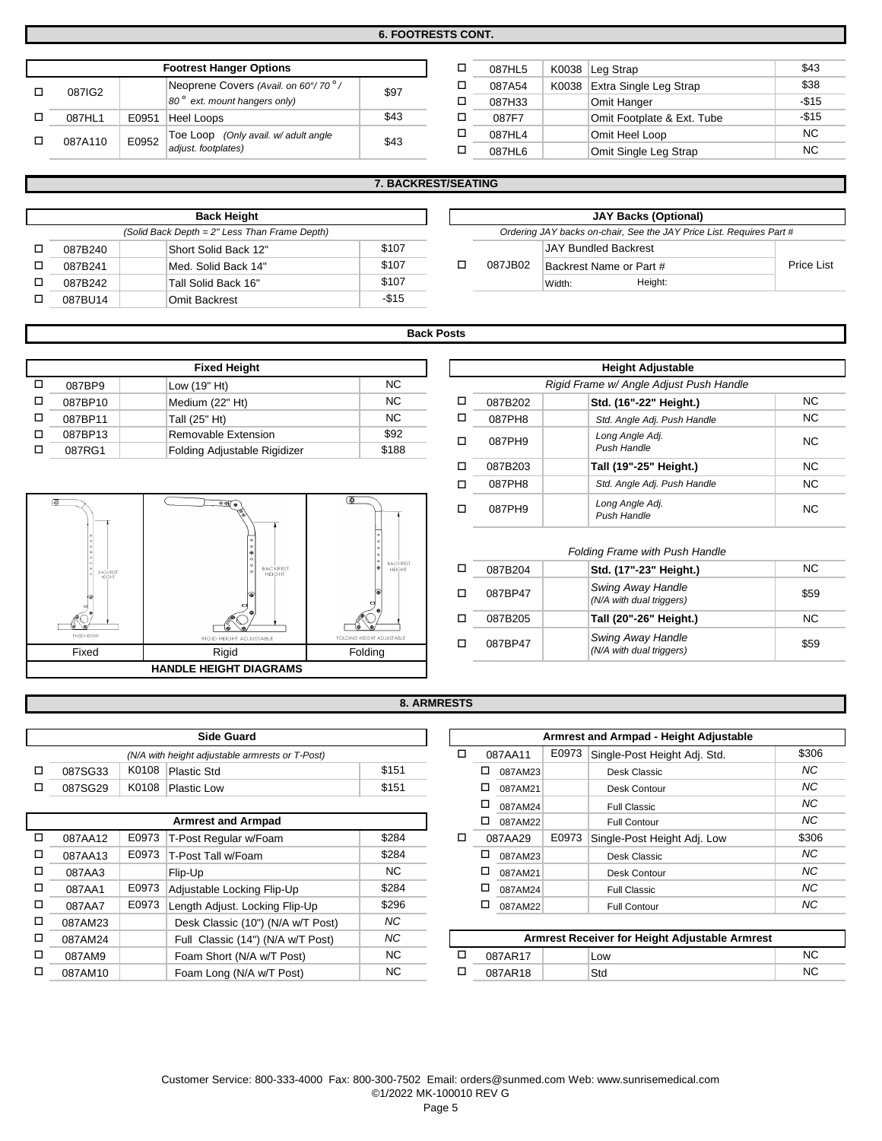**6. FOOTRESTS CONT.**

|  | <b>Footrest Hanger Options</b> |       |                                        |      |  | 087HL5 | K0038 Leg Strap              | \$43   |
|--|--------------------------------|-------|----------------------------------------|------|--|--------|------------------------------|--------|
|  | 087IG2                         |       | Neoprene Covers (Avail. on 60°/70°/    | \$97 |  | 087A54 | K0038 Extra Single Leg Strap | \$38   |
|  |                                |       | $ 80^{\circ}$ ext. mount hangers only) |      |  | 087H33 | Omit Hanger                  | $-$15$ |
|  | 087HL1                         | E0951 | Heel Loops                             | \$43 |  | 087F7  | Omit Footplate & Ext. Tube   | $-$15$ |
|  | 087A110                        | E0952 | Toe Loop (Only avail. w/ adult angle   | \$43 |  | 087HL4 | Omit Heel Loop               | NC.    |
|  |                                |       | adjust. footplates)                    |      |  | 087HL6 | Omit Single Leg Strap        | NC.    |

| <b>Footrest Hanger Options</b>                   | ◻    | 087HL5 |        | K0038 Leg Strap | \$43                       |           |
|--------------------------------------------------|------|--------|--------|-----------------|----------------------------|-----------|
| Neoprene Covers (Avail. on 60°/70 <sup>°</sup> / | \$97 |        | 087A54 | K0038           | Extra Single Leg Strap     | \$38      |
| $ 80^\circ \text{ ext.}$ mount hangers only)     |      | 087H33 |        | Omit Hanger     | $-$15$                     |           |
| Heel Loops                                       | \$43 |        | 087F7  |                 | Omit Footplate & Ext. Tube | $-$15$    |
| Toe Loop (Only avail. w/ adult angle             | \$43 |        | 087HL4 |                 | Omit Heel Loop             | <b>NC</b> |
| adjust. footplates)                              |      |        | 087HL6 |                 | Omit Single Leg Strap      | <b>NC</b> |

|  |  |  | <b>7. BACKREST/SEATING</b> |
|--|--|--|----------------------------|
|  |  |  |                            |

|         | <b>Back Height</b>                            |        |                                        | JAY Backs (Or               |                         |
|---------|-----------------------------------------------|--------|----------------------------------------|-----------------------------|-------------------------|
|         | (Solid Back Depth = 2" Less Than Frame Depth) |        | Ordering JAY backs on-chair, See the J |                             |                         |
| 087B240 | Short Solid Back 12"                          | \$107  |                                        | <b>JAY Bundled Backrest</b> |                         |
| 087B241 | Med. Solid Back 14"                           | \$107  | 087JB02                                |                             | Backrest Name or Part # |
| 087B242 | Tall Solid Back 16"                           | \$107  |                                        | Width:                      | Height:                 |
| 087BU14 | <b>Omit Backrest</b>                          | $-$15$ |                                        |                             |                         |

|         | <b>Back Height</b>                            |       |         | <b>JAY Backs (Optional)</b>                                          |            |
|---------|-----------------------------------------------|-------|---------|----------------------------------------------------------------------|------------|
|         | (Solid Back Depth = 2" Less Than Frame Depth) |       |         | Ordering JAY backs on-chair, See the JAY Price List. Requires Part # |            |
| 087B240 | Short Solid Back 12"                          | \$107 |         | JAY Bundled Backrest                                                 |            |
| 087B241 | Med. Solid Back 14"                           | \$107 | 087JB02 | Backrest Name or Part #                                              | Price List |
| 087B242 | 'Tall Solid Back 16"                          | \$107 |         | Height:<br>Width:                                                    |            |
|         |                                               |       |         |                                                                      |            |

# **Back Posts**

| <b>Fixed Height</b> |                              |           |  |  |         | <b>Height Adjustable</b>                |
|---------------------|------------------------------|-----------|--|--|---------|-----------------------------------------|
| 087BP9              | Low (19" Ht)                 | NC.       |  |  |         | Rigid Frame w/ Angle Adjust Push Handle |
| 087BP10             | Medium (22" Ht)              | NC.       |  |  | 087B202 | Std. (16"-22" Height.)                  |
| 087BP11             | Tall (25" Ht)                | <b>NC</b> |  |  | 087PH8  | Std. Angle Adj. Push Handle             |
| 087BP13             | Removable Extension          | \$92      |  |  | 087PH9  | Long Angle Adj.                         |
| 087RG1              | Folding Adjustable Rigidizer | \$188     |  |  |         | Push Handle                             |



| Fixed Height             |       |         |                        | <b>Height Adjustable</b>                |           |
|--------------------------|-------|---------|------------------------|-----------------------------------------|-----------|
| 19" Ht)                  | NC.   |         |                        | Rigid Frame w/ Angle Adjust Push Handle |           |
| um (22" Ht)              | □     | 087B202 | Std. (16"-22" Height.) | <b>NC</b>                               |           |
| NC.<br>25" Ht)           |       | □       | 087PH8                 | Std. Angle Adj. Push Handle             | <b>NC</b> |
| \$92<br>ovable Extension |       | □       | 087PH9                 | Long Angle Adj.                         | <b>NC</b> |
| ng Adjustable Rigidizer  | \$188 |         |                        | Push Handle                             |           |
|                          |       | □       | 087B203                | Tall (19"-25" Height.)                  | NC.       |
|                          |       | □       | 087PH8                 | Std. Angle Adj. Push Handle             | <b>NC</b> |
| $\circ$                  | l o I | □       | 087PH9                 | Long Angle Adj.<br>Push Handle          | <b>NC</b> |

#### $\Box$ o o 087BP47 NC o 087BP47 087B205 **Tall (20"-26" Height.)** NC *Folding Frame with Push Handle* 087B204 **Std. (17"-23" Height.)** *Swing Away Handle (N/A with dual triggers)* \$59 *Swing Away Handle (N/A with dual triggers)* \$59

# **8. ARMRESTS**

| <b>Side Guard</b> |       |                                                 |       |  |  |  |  |  |
|-------------------|-------|-------------------------------------------------|-------|--|--|--|--|--|
|                   |       | (N/A with height adjustable armrests or T-Post) |       |  |  |  |  |  |
| 087SG33           | K0108 | Plastic Std                                     | \$151 |  |  |  |  |  |
| 087SG29           | K0108 | <b>Plastic Low</b>                              | \$151 |  |  |  |  |  |

|   |         |       | <b>Armrest and Armpad</b>         |       |   | □ | 087AM22 |       | <b>Full Contour</b>                            |
|---|---------|-------|-----------------------------------|-------|---|---|---------|-------|------------------------------------------------|
| □ | 087AA12 | E0973 | T-Post Regular w/Foam             | \$284 | ◻ |   | 087AA29 | E0973 | Single-Post Height Adj. Low                    |
| □ | 087AA13 | E0973 | T-Post Tall w/Foam                | \$284 |   | ◻ | 087AM23 |       | Desk Classic                                   |
| □ | 087AA3  |       | Flip-Up                           | NC.   |   | □ | 087AM21 |       | Desk Contour                                   |
| □ | 087AA1  | E0973 | Adjustable Locking Flip-Up        | \$284 |   | □ | 087AM24 |       | <b>Full Classic</b>                            |
| □ | 087AA7  | E0973 | Length Adjust. Locking Flip-Up    | \$296 |   | □ | 087AM22 |       | Full Contour                                   |
| □ | 087AM23 |       | Desk Classic (10") (N/A w/T Post) | NC.   |   |   |         |       |                                                |
| □ | 087AM24 |       | Full Classic (14") (N/A w/T Post) | NC.   |   |   |         |       | Armrest Receiver for Height Adjustable Armrest |
| □ | 087AM9  |       | Foam Short (N/A w/T Post)         | NC.   | □ |   | 087AR17 |       | Low                                            |
| □ | 087AM10 |       | Foam Long (N/A w/T Post)          | NC.   | ◘ |   | 087AR18 |       | Std                                            |

|         |       | <b>Side Guard</b>                               |        |   |   |         |       | Armrest and Armpad - Height Adjustable |       |
|---------|-------|-------------------------------------------------|--------|---|---|---------|-------|----------------------------------------|-------|
|         |       | (N/A with height adjustable armrests or T-Post) |        | □ |   | 087AA11 | E0973 | Single-Post Height Adj. Std.           | \$306 |
| 087SG33 | K0108 | Plastic Std                                     | \$151  |   | □ | 087AM23 |       | Desk Classic                           | NC    |
| 087SG29 |       | K0108 Plastic Low                               | \$151  |   | □ | 087AM21 |       | Desk Contour                           | NC    |
|         |       |                                                 |        |   | □ | 087AM24 |       | <b>Full Classic</b>                    | NC    |
|         |       | <b>Armrest and Armpad</b>                       |        |   | □ | 087AM22 |       | <b>Full Contour</b>                    | NC    |
| 087AA12 |       | E0973   T-Post Regular w/Foam                   | \$284  | □ |   | 087AA29 | E0973 | Single-Post Height Adj. Low            | \$306 |
| 087AA13 | E0973 | T-Post Tall w/Foam                              | \$284  |   | □ | 087AM23 |       | Desk Classic                           | NC    |
| 087AA3  |       | Flip-Up                                         | NC.    |   | □ | 087AM21 |       | Desk Contour                           | NC    |
| 087AA1  | E0973 | Adjustable Locking Flip-Up                      | \$284  |   | □ | 087AM24 |       | <b>Full Classic</b>                    | NC    |
| 087AA7  | E0973 | Length Adjust. Locking Flip-Up                  | \$296  |   |   | 087AM22 |       | <b>Full Contour</b>                    | NС    |
|         |       |                                                 | $\sim$ |   |   |         |       |                                        |       |

| 087AM24 | Full Classic (14") (N/A w/T Post) | <b>NC</b> |  |         | Armrest Receiver for Height Adjustable Armrest |    |
|---------|-----------------------------------|-----------|--|---------|------------------------------------------------|----|
| 087AM9  | Foam Short (N/A w/T Post)         | NC        |  | 087AR17 | LOW                                            | NC |
| 087AM10 | Foam Long (N/A w/T Post)          | <b>NC</b> |  | 087AR18 | Std                                            | NC |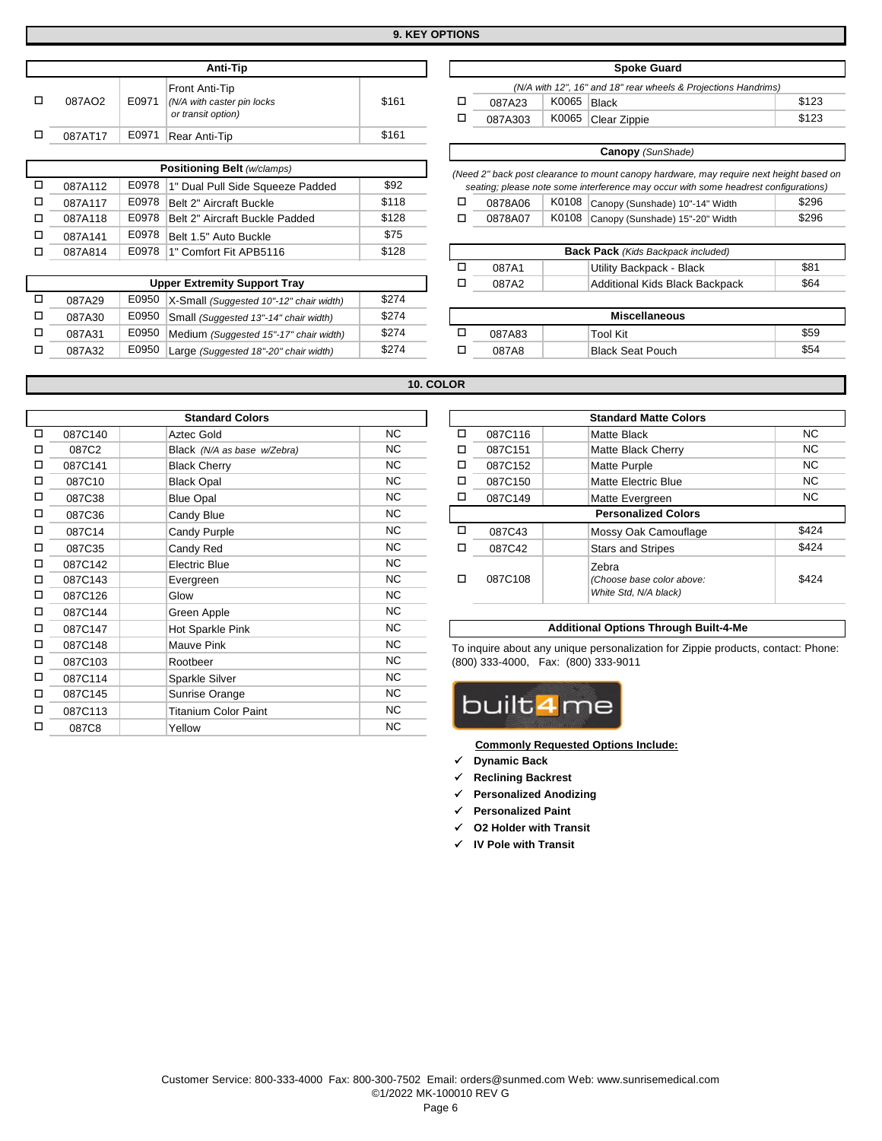| Anti-Tip |         |       |                                                                    |       |  |  |  |  |  |
|----------|---------|-------|--------------------------------------------------------------------|-------|--|--|--|--|--|
|          | 087AO2  | E0971 | Front Anti-Tip<br>(N/A with caster pin locks<br>or transit option) | \$161 |  |  |  |  |  |
|          | 087AT17 | E0971 | Rear Anti-Tip                                                      | \$161 |  |  |  |  |  |
|          |         |       |                                                                    |       |  |  |  |  |  |

|         |       | <b>Positioning Belt (w/clamps)</b>      |                                                              | (Need 2" back post clearance to mount canopy hardware, may re |  |         |                                           |                                     |
|---------|-------|-----------------------------------------|--------------------------------------------------------------|---------------------------------------------------------------|--|---------|-------------------------------------------|-------------------------------------|
| 087A112 |       | E0978  1" Dual Pull Side Squeeze Padded | seating; please note some interference may occur with some h |                                                               |  |         |                                           |                                     |
| 087A117 |       | E0978 Belt 2" Aircraft Buckle           | \$118                                                        |                                                               |  | 0878A06 |                                           | K0108 Canopy (Sunshade) 10"-14" Wid |
| 087A118 |       | E0978 Belt 2" Aircraft Buckle Padded    | \$128                                                        |                                                               |  | 0878A07 |                                           | K0108 Canopy (Sunshade) 15"-20" Wid |
| 087A141 | E0978 | Belt 1.5" Auto Buckle                   | \$75                                                         |                                                               |  |         |                                           |                                     |
| 087A814 |       | E0978 1" Comfort Fit APB5116            |                                                              |                                                               |  |         | <b>Back Pack</b> (Kids Backpack included) |                                     |

|        | <b>Upper Extremity Support Tray</b>           |       |                      | 087A2  |  | Additional Kids Black Backpack | \$64 |
|--------|-----------------------------------------------|-------|----------------------|--------|--|--------------------------------|------|
| 087A29 | E0950 X-Small (Suggested 10"-12" chair width) | \$274 |                      |        |  |                                |      |
| 087A30 | E0950 Small (Suggested 13"-14" chair width)   | \$274 | <b>Miscellaneous</b> |        |  |                                |      |
| 087A31 | E0950 Medium (Suggested 15"-17" chair width)  | \$274 |                      | 087A83 |  | Tool Kit                       | \$59 |
| 087A32 | E0950 Large (Suggested 18"-20" chair width)   | \$274 |                      | 087A8  |  | Black Seat Pouch               | \$54 |
|        |                                               |       |                      |        |  |                                |      |

|         |       | Front Anti-Tip                          |       |   |         |       | (N/A with 12", 16" and 18" rear wheels & Projections Handrims)                          |       |
|---------|-------|-----------------------------------------|-------|---|---------|-------|-----------------------------------------------------------------------------------------|-------|
| 087AO2  | E0971 | (N/A with caster pin locks              | \$161 | □ | 087A23  | K0065 | Black                                                                                   | \$123 |
|         |       | or transit option)                      |       | □ | 087A303 | K0065 | Clear Zippie                                                                            | \$123 |
| 087AT17 | E0971 | Rear Anti-Tip                           | \$161 |   |         |       |                                                                                         |       |
|         |       |                                         |       |   |         |       | <b>Canopy</b> (SunShade)                                                                |       |
|         |       | <b>Positioning Belt (w/clamps)</b>      |       |   |         |       | (Need 2" back post clearance to mount canopy hardware, may require next height based on |       |
| 087A112 | E0978 | 1" Dual Pull Side Squeeze Padded        | \$92  |   |         |       | seating; please note some interference may occur with some headrest configurations)     |       |
| 087A117 | E0978 | Belt 2" Aircraft Buckle                 | \$118 | ◻ | 0878A06 | K0108 | Canopy (Sunshade) 10"-14" Width                                                         | \$296 |
| 087A118 | E0978 | Belt 2" Aircraft Buckle Padded          | \$128 | □ | 0878A07 | K0108 | Canopy (Sunshade) 15"-20" Width                                                         | \$296 |
| 087A141 | E0978 | Belt 1.5" Auto Buckle                   | \$75  |   |         |       |                                                                                         |       |
| 087A814 | E0978 | 1" Comfort Fit APB5116                  | \$128 |   |         |       | <b>Back Pack</b> (Kids Backpack included)                                               |       |
|         |       |                                         |       | ◻ | 087A1   |       | Utility Backpack - Black                                                                | \$81  |
|         |       | <b>Upper Extremity Support Tray</b>     |       | □ | 087A2   |       | Additional Kids Black Backpack                                                          | \$64  |
| 087A29  | E0950 | X-Small (Suggested 10"-12" chair width) | \$274 |   |         |       |                                                                                         |       |
| 087A30  | E0950 | Small (Suggested 13"-14" chair width)   | \$274 |   |         |       | <b>Miscellaneous</b>                                                                    |       |
| 087A31  | E0950 | Medium (Suggested 15"-17" chair width)  | \$274 | □ | 087A83  |       | Tool Kit                                                                                | \$59  |
| 087A32  | E0950 | Large (Suggested 18"-20" chair width)   | \$274 | □ | 087A8   |       | <b>Black Seat Pouch</b>                                                                 | \$54  |

**Spoke Guard** 

### **10. COLOR**

|   |         | <b>Standard Colors</b>      |           |   |                                     | <b>Standard Matte Color</b>                          |
|---|---------|-----------------------------|-----------|---|-------------------------------------|------------------------------------------------------|
| □ | 087C140 | Aztec Gold                  | NC        | □ | 087C116                             | <b>Matte Black</b>                                   |
| □ | 087C2   | Black (N/A as base w/Zebra) | NC.       | □ | 087C151                             | Matte Black Cherry                                   |
| □ | 087C141 | <b>Black Cherry</b>         | NC.       | □ | 087C152                             | <b>Matte Purple</b>                                  |
| □ | 087C10  | <b>Black Opal</b>           | <b>NC</b> | □ | 087C150                             | <b>Matte Electric Blue</b>                           |
| □ | 087C38  | <b>Blue Opal</b>            | NC.       | □ | 087C149                             | Matte Evergreen                                      |
| □ | 087C36  | Candy Blue                  | NC.       |   |                                     | <b>Personalized Colors</b>                           |
| □ | 087C14  | Candy Purple                | NC.       | □ | 087C43                              | Mossy Oak Camouflac                                  |
| □ | 087C35  | Candy Red                   | NC.       | □ | 087C42                              | <b>Stars and Stripes</b>                             |
| □ | 087C142 | <b>Electric Blue</b>        | NC.       |   |                                     | Zebra                                                |
| □ | 087C143 | Evergreen                   | <b>NC</b> | □ | 087C108                             | (Choose base color above                             |
| □ | 087C126 | Glow                        | <b>NC</b> |   |                                     | White Std, N/A black)                                |
| □ | 087C144 | Green Apple                 | NC.       |   |                                     |                                                      |
| □ | 087C147 | Hot Sparkle Pink            | NC.       |   |                                     | <b>Additional Options Through B</b>                  |
| □ | 087C148 | Mauve Pink                  | NC.       |   |                                     | To inquire about any unique personalization for Zipp |
| □ | 087C103 | Rootbeer                    | NC.       |   | (800) 333-4000, Fax: (800) 333-9011 |                                                      |
| □ | 087C114 | Sparkle Silver              | <b>NC</b> |   |                                     |                                                      |
| □ | 087C145 | Sunrise Orange              | NC.       |   |                                     |                                                      |
| □ | 087C113 | <b>Titanium Color Paint</b> | NC.       |   | built4me                            |                                                      |
| П | 087C8   | Yellow                      | <b>NC</b> |   |                                     |                                                      |

|         | <b>Standard Colors</b>      |          |   |         | <b>Standard Matte Colors</b> |       |
|---------|-----------------------------|----------|---|---------|------------------------------|-------|
| 087C140 | Aztec Gold                  | NC.      | □ | 087C116 | <b>Matte Black</b>           | NC.   |
| 087C2   | Black (N/A as base w/Zebra) | NC.      | □ | 087C151 | Matte Black Cherry           | NC.   |
| 087C141 | <b>Black Cherry</b>         | NC.      | □ | 087C152 | Matte Purple                 | NC.   |
| 087C10  | <b>Black Opal</b>           | NC.      | □ | 087C150 | Matte Electric Blue          | NC.   |
| 087C38  | <b>Blue Opal</b>            | NC.      | □ | 087C149 | Matte Evergreen              | NC.   |
| 087C36  | Candy Blue                  | NC.      |   |         | <b>Personalized Colors</b>   |       |
| 087C14  | Candy Purple                | NC.      | □ | 087C43  | Mossy Oak Camouflage         | \$424 |
| 087C35  | Candy Red                   | NC.      | □ | 087C42  | <b>Stars and Stripes</b>     | \$424 |
| 087C142 | Electric Blue               | NC.      |   |         | Zebra                        |       |
| 087C143 | Evergreen                   | NC.      | □ | 087C108 | (Choose base color above:    | \$424 |
| 087C126 | Glow                        | NC.      |   |         | White Std, N/A black)        |       |
| .       |                             | $\cdots$ |   |         |                              |       |

#### 087C147 Hot Sparkle Pink NC **Additional Options Through Built-4-Me**

To inquire about any unique personalization for Zippie products, contact: Phone: (800) 333-4000, Fax: (800) 333-9011



**Commonly Requested Options Include:**

- **Dynamic Back**
- **Reclining Backrest**
- **Personalized Anodizing**
- **Personalized Paint**
- **O2 Holder with Transit**
- **IV Pole with Transit**